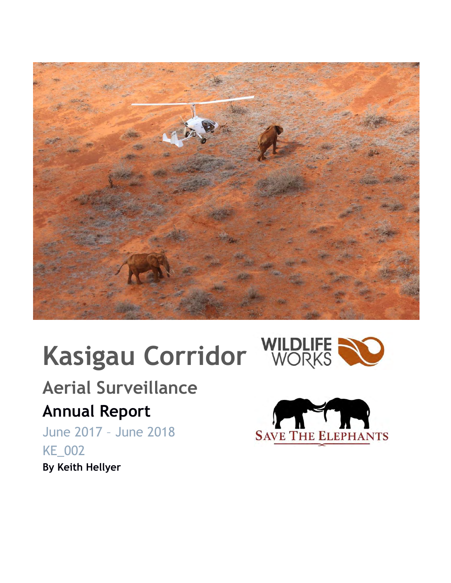

# **Kasigau Corridor WILDLIFE NO**



## **Aerial Surveillance**

## **Annual Report**

June 2017 – June 2018 KE\_002 **By Keith Hellyer**

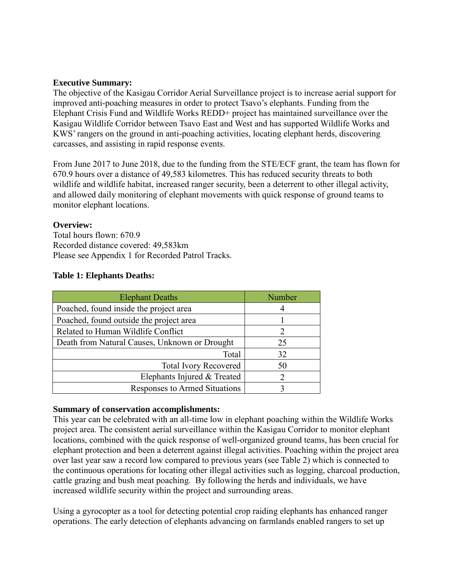#### **Executive Summary:**

The objective of the Kasigau Corridor Aerial Surveillance project is to increase aerial support for improved anti-poaching measures in order to protect Tsavo's elephants. Funding from the Elephant Crisis Fund and Wildlife Works REDD+ project has maintained surveillance over the Kasigau Wildlife Corridor between Tsavo East and West and has supported Wildlife Works and KWS' rangers on the ground in anti-poaching activities, locating elephant herds, discovering carcasses, and assisting in rapid response events.

From June 2017 to June 2018, due to the funding from the STE/ECF grant, the team has flown for 670.9 hours over a distance of 49,583 kilometres. This has reduced security threats to both wildlife and wildlife habitat, increased ranger security, been a deterrent to other illegal activity, and allowed daily monitoring of elephant movements with quick response of ground teams to monitor elephant locations.

#### **Overview:**

Total hours flown: 670.9 Recorded distance covered: 49,583km Please see Appendix 1 for Recorded Patrol Tracks.

| <b>Elephant Deaths</b>                        | Number                      |  |  |
|-----------------------------------------------|-----------------------------|--|--|
| Poached, found inside the project area        |                             |  |  |
| Poached, found outside the project area       |                             |  |  |
| Related to Human Wildlife Conflict            | $\mathcal{D}_{\mathcal{L}}$ |  |  |
| Death from Natural Causes, Unknown or Drought | 25                          |  |  |
| Total                                         | 32                          |  |  |
| <b>Total Ivory Recovered</b>                  | 50                          |  |  |
| Elephants Injured & Treated                   |                             |  |  |
| Responses to Armed Situations                 |                             |  |  |

#### **Summary of conservation accomplishments:**

This year can be celebrated with an all-time low in elephant poaching within the Wildlife Works project area. The consistent aerial surveillance within the Kasigau Corridor to monitor elephant locations, combined with the quick response of well-organized ground teams, has been crucial for elephant protection and been a deterrent against illegal activities. Poaching within the project area over last year saw a record low compared to previous years (see Table 2) which is connected to the continuous operations for locating other illegal activities such as logging, charcoal production, cattle grazing and bush meat poaching. By following the herds and individuals, we have increased wildlife security within the project and surrounding areas.

Using a gyrocopter as a tool for detecting potential crop raiding elephants has enhanced ranger operations. The early detection of elephants advancing on farmlands enabled rangers to set up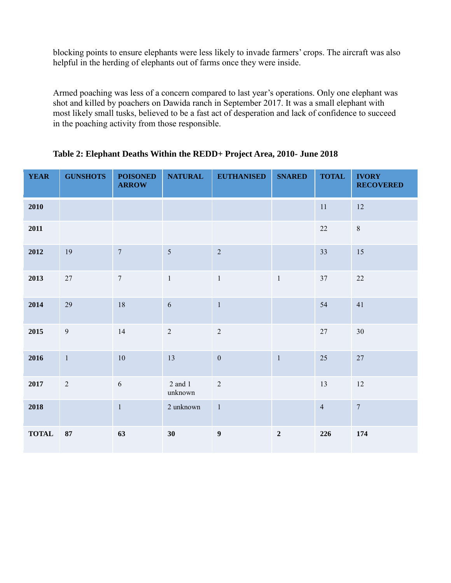blocking points to ensure elephants were less likely to invade farmers' crops. The aircraft was also helpful in the herding of elephants out of farms once they were inside.

Armed poaching was less of a concern compared to last year's operations. Only one elephant was shot and killed by poachers on Dawida ranch in September 2017. It was a small elephant with most likely small tusks, believed to be a fast act of desperation and lack of confidence to succeed in the poaching activity from those responsible.

| <b>YEAR</b>  | <b>GUNSHOTS</b> | <b>POISONED</b><br><b>ARROW</b> | <b>NATURAL</b>     | <b>EUTHANISED</b> | <b>SNARED</b>  | <b>TOTAL</b>   | <b>IVORY</b><br><b>RECOVERED</b> |
|--------------|-----------------|---------------------------------|--------------------|-------------------|----------------|----------------|----------------------------------|
| 2010         |                 |                                 |                    |                   |                | 11             | 12                               |
| 2011         |                 |                                 |                    |                   |                | 22             | $\,8\,$                          |
| 2012         | 19              | $\boldsymbol{7}$                | $\mathfrak{S}$     | $\overline{2}$    |                | 33             | 15                               |
| 2013         | 27              | $\overline{7}$                  | $\mathbf{1}$       | $\mathbf{1}$      | $\mathbf{1}$   | 37             | 22                               |
| 2014         | 29              | 18                              | $\sqrt{6}$         | $\mathbf{1}$      |                | 54             | 41                               |
| 2015         | $\overline{9}$  | 14                              | $\overline{2}$     | $\sqrt{2}$        |                | $27\,$         | 30                               |
| 2016         | $\mathbf{1}$    | $10\,$                          | 13                 | $\boldsymbol{0}$  | $\mathbf{1}$   | 25             | $27\,$                           |
| 2017         | $\overline{2}$  | $\sqrt{6}$                      | 2 and 1<br>unknown | $\overline{2}$    |                | 13             | 12                               |
| 2018         |                 | $\mathbf{1}$                    | 2 unknown          | $\overline{1}$    |                | $\overline{4}$ | $\boldsymbol{7}$                 |
| <b>TOTAL</b> | 87              | 63                              | 30                 | $\boldsymbol{9}$  | $\overline{2}$ | 226            | 174                              |

#### **Table 2: Elephant Deaths Within the REDD+ Project Area, 2010- June 2018**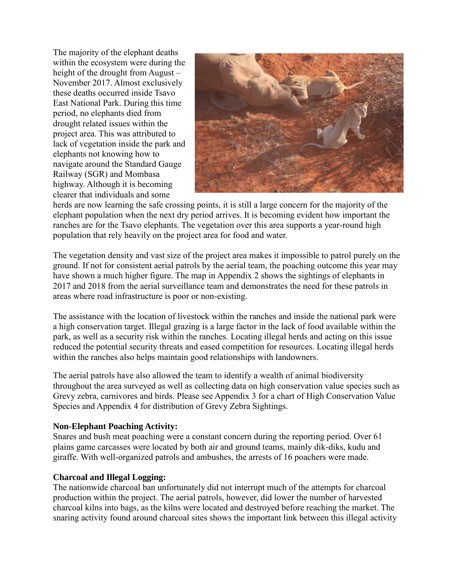The majority of the elephant deaths within the ecosystem were during the height of the drought from August – November 2017. Almost exclusively these deaths occurred inside Tsavo East National Park. During this time period, no elephants died from drought related issues within the project area. This was attributed to lack of vegetation inside the park and elephants not knowing how to navigate around the Standard Gauge Railway (SGR) and Mombasa highway. Although it is becoming clearer that individuals and some



herds are now learning the safe crossing points, it is still a large concern for the majority of the elephant population when the next dry period arrives. It is becoming evident how important the ranches are for the Tsavo elephants. The vegetation over this area supports a year-round high population that rely heavily on the project area for food and water.

The vegetation density and vast size of the project area makes it impossible to patrol purely on the ground. If not for consistent aerial patrols by the aerial team, the poaching outcome this year may have shown a much higher figure. The map in Appendix 2 shows the sightings of elephants in 2017 and 2018 from the aerial surveillance team and demonstrates the need for these patrols in areas where road infrastructure is poor or non-existing.

The assistance with the location of livestock within the ranches and inside the national park were a high conservation target. Illegal grazing is a large factor in the lack of food available within the park, as well as a security risk within the ranches. Locating illegal herds and acting on this issue reduced the potential security threats and eased competition for resources. Locating illegal herds within the ranches also helps maintain good relationships with landowners.

The aerial patrols have also allowed the team to identify a wealth of animal biodiversity throughout the area surveyed as well as collecting data on high conservation value species such as Grevy zebra, carnivores and birds. Please see Appendix 3 for a chart of High Conservation Value Species and Appendix 4 for distribution of Grevy Zebra Sightings.

#### **Non-Elephant Poaching Activity:**

Snares and bush meat poaching were a constant concern during the reporting period. Over 61 plains game carcasses were located by both air and ground teams, mainly dik-diks, kudu and giraffe. With well-organized patrols and ambushes, the arrests of 16 poachers were made.

#### **Charcoal and Illegal Logging:**

The nationwide charcoal ban unfortunately did not interrupt much of the attempts for charcoal production within the project. The aerial patrols, however, did lower the number of harvested charcoal kilns into bags, as the kilns were located and destroyed before reaching the market. The snaring activity found around charcoal sites shows the important link between this illegal activity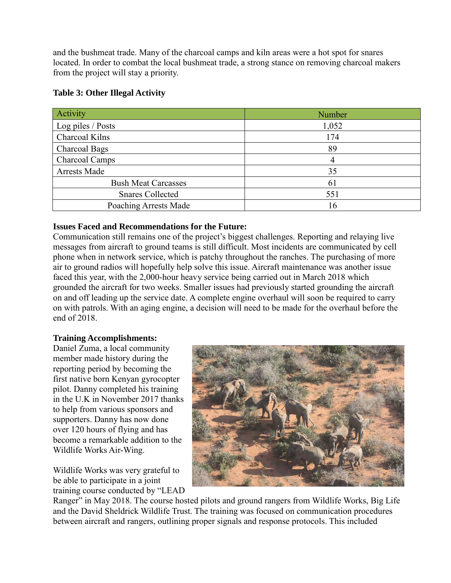and the bushmeat trade. Many of the charcoal camps and kiln areas were a hot spot for snares located. In order to combat the local bushmeat trade, a strong stance on removing charcoal makers from the project will stay a priority.

| Activity                   | Number |  |  |
|----------------------------|--------|--|--|
| Log piles / Posts          | 1,052  |  |  |
| Charcoal Kilns             | 174    |  |  |
| <b>Charcoal Bags</b>       | 89     |  |  |
| <b>Charcoal Camps</b>      | 4      |  |  |
| Arrests Made               | 35     |  |  |
| <b>Bush Meat Carcasses</b> | 61     |  |  |
| <b>Snares Collected</b>    | 551    |  |  |
| Poaching Arrests Made      | 16     |  |  |

#### **Table 3: Other Illegal Activity**

#### **Issues Faced and Recommendations for the Future:**

Communication still remains one of the project's biggest challenges. Reporting and relaying live messages from aircraft to ground teams is still difficult. Most incidents are communicated by cell phone when in network service, which is patchy throughout the ranches. The purchasing of more air to ground radios will hopefully help solve this issue. Aircraft maintenance was another issue faced this year, with the 2,000-hour heavy service being carried out in March 2018 which grounded the aircraft for two weeks. Smaller issues had previously started grounding the aircraft on and off leading up the service date. A complete engine overhaul will soon be required to carry on with patrols. With an aging engine, a decision will need to be made for the overhaul before the end of 2018.

#### **Training Accomplishments:**

Daniel Zuma, a local community member made history during the reporting period by becoming the first native born Kenyan gyrocopter pilot. Danny completed his training in the U.K in November 2017 thanks to help from various sponsors and supporters. Danny has now done over 120 hours of flying and has become a remarkable addition to the Wildlife Works Air-Wing.

Wildlife Works was very grateful to be able to participate in a joint training course conducted by "LEAD



Ranger" in May 2018. The course hosted pilots and ground rangers from Wildlife Works, Big Life and the David Sheldrick Wildlife Trust. The training was focused on communication procedures between aircraft and rangers, outlining proper signals and response protocols. This included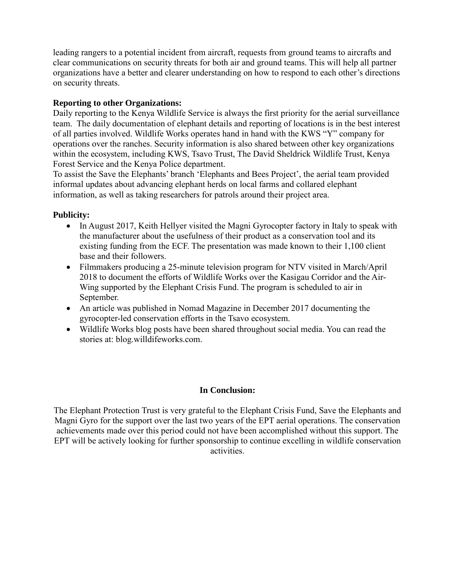leading rangers to a potential incident from aircraft, requests from ground teams to aircrafts and clear communications on security threats for both air and ground teams. This will help all partner organizations have a better and clearer understanding on how to respond to each other's directions on security threats.

#### **Reporting to other Organizations:**

Daily reporting to the Kenya Wildlife Service is always the first priority for the aerial surveillance team. The daily documentation of elephant details and reporting of locations is in the best interest of all parties involved. Wildlife Works operates hand in hand with the KWS "Y" company for operations over the ranches. Security information is also shared between other key organizations within the ecosystem, including KWS, Tsavo Trust, The David Sheldrick Wildlife Trust, Kenya Forest Service and the Kenya Police department.

To assist the Save the Elephants' branch 'Elephants and Bees Project', the aerial team provided informal updates about advancing elephant herds on local farms and collared elephant information, as well as taking researchers for patrols around their project area.

#### **Publicity:**

- In August 2017, Keith Hellyer visited the Magni Gyrocopter factory in Italy to speak with the manufacturer about the usefulness of their product as a conservation tool and its existing funding from the ECF. The presentation was made known to their 1,100 client base and their followers.
- Filmmakers producing a 25-minute television program for NTV visited in March/April 2018 to document the efforts of Wildlife Works over the Kasigau Corridor and the Air-Wing supported by the Elephant Crisis Fund. The program is scheduled to air in September.
- An article was published in Nomad Magazine in December 2017 documenting the gyrocopter-led conservation efforts in the Tsavo ecosystem.
- Wildlife Works blog posts have been shared throughout social media. You can read the stories at: blog.willdifeworks.com.

#### **In Conclusion:**

The Elephant Protection Trust is very grateful to the Elephant Crisis Fund, Save the Elephants and Magni Gyro for the support over the last two years of the EPT aerial operations. The conservation achievements made over this period could not have been accomplished without this support. The EPT will be actively looking for further sponsorship to continue excelling in wildlife conservation activities.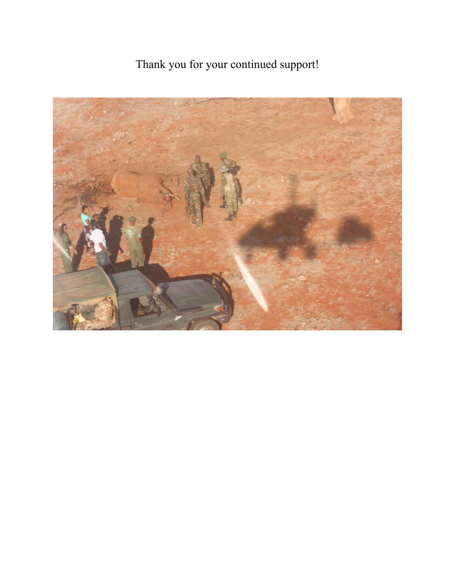## Thank you for your continued support!

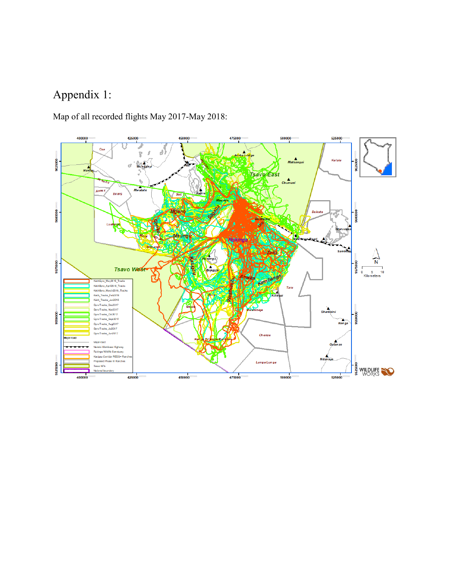## Appendix 1:

Map of all recorded flights May 2017-May 2018:

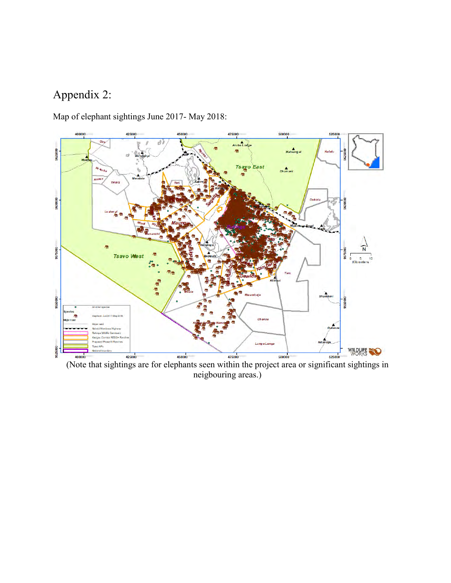### Appendix 2:

Map of elephant sightings June 2017- May 2018:



(Note that sightings are for elephants seen within the project area or significant sightings in neigbouring areas.)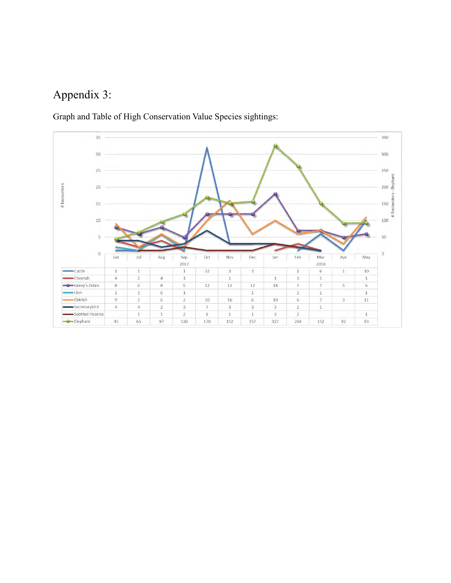## Appendix 3:

Graph and Table of High Conservation Value Species sightings: